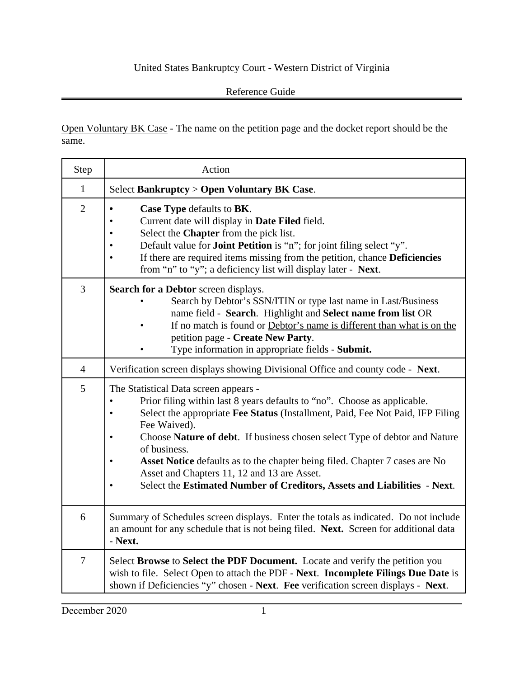## United States Bankruptcy Court - Western District of Virginia

## Reference Guide

Open Voluntary BK Case - The name on the petition page and the docket report should be the same.

| Step           | Action                                                                                                                                                                                                                                                                                                                                                                                                                                                                                                                                                     |
|----------------|------------------------------------------------------------------------------------------------------------------------------------------------------------------------------------------------------------------------------------------------------------------------------------------------------------------------------------------------------------------------------------------------------------------------------------------------------------------------------------------------------------------------------------------------------------|
| $\mathbf{1}$   | Select Bankruptcy > Open Voluntary BK Case.                                                                                                                                                                                                                                                                                                                                                                                                                                                                                                                |
| $\overline{2}$ | Case Type defaults to BK.<br>Current date will display in Date Filed field.<br>Select the Chapter from the pick list.<br>$\bullet$<br>Default value for <b>Joint Petition</b> is "n"; for joint filing select "y".<br>$\bullet$<br>If there are required items missing from the petition, chance Deficiencies<br>$\bullet$<br>from "n" to "y"; a deficiency list will display later - Next.                                                                                                                                                                |
| 3              | <b>Search for a Debtor</b> screen displays.<br>Search by Debtor's SSN/ITIN or type last name in Last/Business<br>name field - Search. Highlight and Select name from list OR<br>If no match is found or Debtor's name is different than what is on the<br>petition page - Create New Party.<br>Type information in appropriate fields - Submit.                                                                                                                                                                                                            |
| $\overline{4}$ | Verification screen displays showing Divisional Office and county code - Next.                                                                                                                                                                                                                                                                                                                                                                                                                                                                             |
| 5              | The Statistical Data screen appears -<br>Prior filing within last 8 years defaults to "no". Choose as applicable.<br>$\bullet$<br>Select the appropriate Fee Status (Installment, Paid, Fee Not Paid, IFP Filing<br>$\bullet$<br>Fee Waived).<br>Choose Nature of debt. If business chosen select Type of debtor and Nature<br>٠<br>of business.<br>Asset Notice defaults as to the chapter being filed. Chapter 7 cases are No<br>Asset and Chapters 11, 12 and 13 are Asset.<br>Select the Estimated Number of Creditors, Assets and Liabilities - Next. |
| 6              | Summary of Schedules screen displays. Enter the totals as indicated. Do not include<br>an amount for any schedule that is not being filed. Next. Screen for additional data<br>- Next.                                                                                                                                                                                                                                                                                                                                                                     |
| $\tau$         | Select Browse to Select the PDF Document. Locate and verify the petition you<br>wish to file. Select Open to attach the PDF - Next. Incomplete Filings Due Date is<br>shown if Deficiencies "y" chosen - Next. Fee verification screen displays - Next.                                                                                                                                                                                                                                                                                                    |